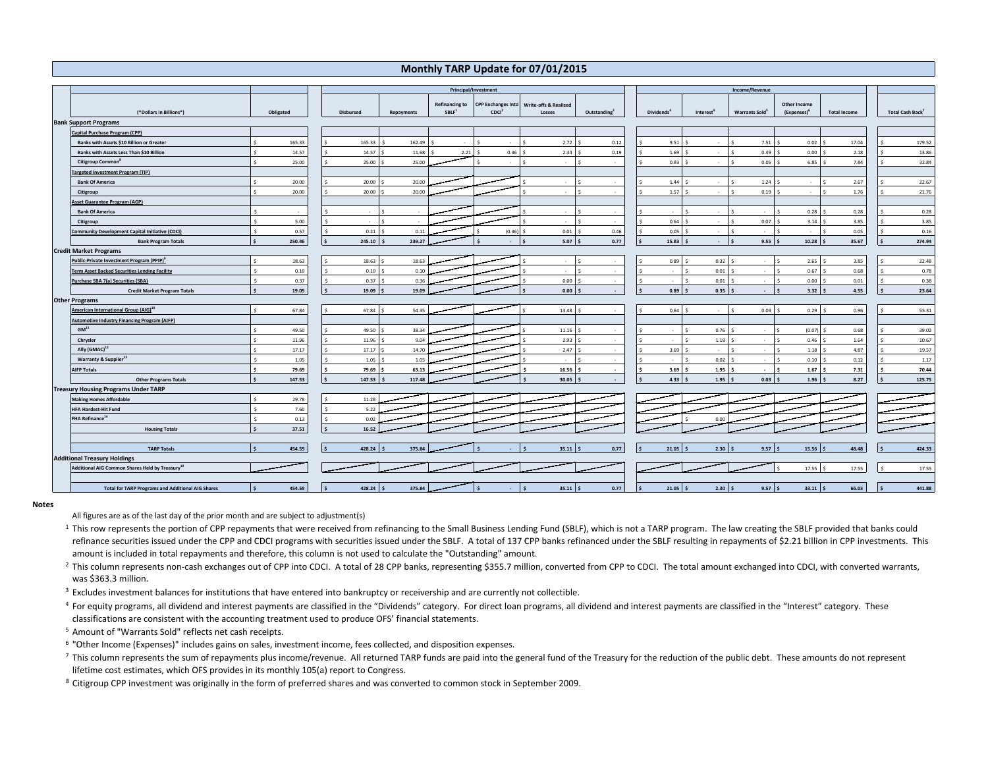## **Monthly TARP Update for 07/01/2015**

|                                             |                                                             |                               | Principal/Investment   |                             |                       |                           |                                            |                          | Income/Revenue         |                         |                                    |                         |                     |  |                              |
|---------------------------------------------|-------------------------------------------------------------|-------------------------------|------------------------|-----------------------------|-----------------------|---------------------------|--------------------------------------------|--------------------------|------------------------|-------------------------|------------------------------------|-------------------------|---------------------|--|------------------------------|
|                                             |                                                             |                               |                        |                             | <b>Refinancing to</b> | <b>CPP Exchanges Into</b> |                                            |                          |                        |                         |                                    | <b>Other Income</b>     |                     |  |                              |
|                                             | (*Dollars in Billions*)                                     | Obligated                     | <b>Disbursed</b>       | Repayments                  | SBLF <sup>1</sup>     | CDCl <sup>2</sup>         | <b>Write-offs &amp; Realized</b><br>Losses | Outstanding <sup>3</sup> | Dividends <sup>4</sup> | Interest <sup>®</sup>   | <b>Warrants Sold</b>               | (Expenses) <sup>b</sup> | <b>Total Income</b> |  | Total Cash Back <sup>7</sup> |
|                                             | <b>Bank Support Programs</b>                                |                               |                        |                             |                       |                           |                                            |                          |                        |                         |                                    |                         |                     |  |                              |
|                                             | Capital Purchase Program (CPP)                              |                               |                        |                             |                       |                           |                                            |                          |                        |                         |                                    |                         |                     |  |                              |
|                                             | Banks with Assets \$10 Billion or Greater                   | 165.33                        | 165.33                 | 162.49                      |                       |                           | 2.72                                       | 0.12                     | 9.51                   | $\sim$                  | 7.51                               | 0.02                    | 17.04               |  | 179.52                       |
|                                             | Banks with Assets Less Than \$10 Billion                    | 14.57                         | 14.57                  | $11.68$ \$                  | 2.21                  | 0.36                      | 2.34                                       | 0.19                     |                        | $1.69$ \$               | 0.49                               | 0.00                    | 2.18                |  | 13.86                        |
|                                             | Citigroup Common <sup>8</sup>                               | 25.00                         | s.                     | $25.00$ \ \$<br>25.00       |                       |                           | ٠                                          |                          |                        | 0.93S                   | $0.05-5$<br>Š,                     | 6.85                    | 7.84                |  | 32.84                        |
|                                             | <b>Targeted Investment Program (TIP)</b>                    |                               |                        |                             |                       |                           |                                            |                          |                        |                         |                                    |                         |                     |  |                              |
|                                             | <b>Bank Of America</b>                                      | 20.00                         | 20.00                  | 20.00                       |                       |                           | ×                                          |                          |                        | $1.44$ \$<br>$\sim$     | 1.24                               | $\sim$                  | 2.67                |  | 22.67                        |
|                                             | Citigroup                                                   | 20.00<br>¢,                   | 20.00                  | 20.00                       |                       |                           | $\sim$                                     |                          | 1.57                   | $\mathbf{r}$<br>l <     | 0.19                               | $\sim$                  | 1.76                |  | 21.76                        |
|                                             | <b>Asset Guarantee Program (AGP)</b>                        |                               |                        |                             |                       |                           |                                            |                          |                        |                         |                                    |                         |                     |  |                              |
|                                             | <b>Bank Of America</b>                                      |                               | $\sim$                 | Ś                           |                       |                           | $\sim$                                     |                          | $\sim$                 | $\sim$<br>$\sim$        | $\leq$<br>$\sim$                   | 0.28<br>$\sim$          | 0.28                |  | 0.28                         |
|                                             | Citigroup                                                   | 5.00                          | -<br>$\sim$            | <b>R</b>                    |                       |                           | ×                                          |                          | 0.64                   | $\sim$                  | 0.07<br>$\ddot{\phantom{1}}$       | 3.14                    | 3.85                |  | 3.85                         |
|                                             | <b>Community Development Capital Initiative (CDCI)</b>      | 0.57                          | 0.21                   | 0.11                        |                       | (0.36)                    | 0.01                                       | 0.46                     | 0.05                   | $\sim$                  | $\sim$                             | $\sim$                  | 0.05                |  | 0.16                         |
|                                             | <b>Bank Program Totals</b>                                  | 250.46                        | 245.10<br>$\mathsf{s}$ | 239.27                      |                       |                           | 5.07                                       | 0.77                     | 15.83                  | $\sim$                  | 9.55                               | 10.28                   | 35.67               |  | 274.94                       |
|                                             | <b>Credit Market Programs</b>                               |                               |                        |                             |                       |                           |                                            |                          |                        |                         |                                    |                         |                     |  |                              |
|                                             | Public-Private Investment Program (PPIP) <sup>9</sup>       | 18.63                         | 18.63                  | 18.63                       |                       |                           | $\overline{\phantom{a}}$                   |                          |                        | $0.89$ \$<br>0.32       | $\ddot{\phantom{1}}$<br>$\sim$     | 2.65<br>Š.              | 3.85                |  | 22.48                        |
|                                             | <b>Term Asset Backed Securities Lending Facility</b>        | 0.10                          |                        | 0.10<br>$0.10$ \$           |                       |                           | $\sim$                                     |                          | $\sim$                 | 0.01                    | $\sim$                             | 0.67<br>Š.              | 0.68                |  | 0.78                         |
|                                             | Purchase SBA 7(a) Securities (SBA)                          | 0.37                          | 0.37<br>$\zeta$        | 0.36<br>$\ddot{\mathbf{S}}$ |                       |                           | 0.00                                       |                          | ٠                      | 0.01                    | $\leq$<br>$\overline{\phantom{a}}$ | Š.<br>0.00              | 0.01                |  | 0.38                         |
|                                             | <b>Credit Market Program Totals</b>                         | 19.09<br><b>S</b>             | l \$                   | $19.09$ S<br>19.09          |                       |                           | $0.00$ \$                                  | $\sim$                   | ۱s                     | $0.89$ S<br>0.35        | $\sim$                             | $3.32$ \$               | 4.55                |  | 23.64                        |
| <b>Other Programs</b>                       |                                                             |                               |                        |                             |                       |                           |                                            |                          |                        |                         |                                    |                         |                     |  |                              |
|                                             | American International Group (AIG) <sup>10</sup>            | 67.84                         | 67.84                  | 54.35                       |                       |                           | 13.48                                      |                          |                        | $0.64$ \$<br>$\sim$     | $0.03-5$<br>$\ddot{\phantom{1}}$   | 0.29                    | 0.96                |  | 55.31                        |
|                                             | <b>Automotive Industry Financing Program (AIFP)</b>         |                               |                        |                             |                       |                           |                                            |                          |                        |                         |                                    |                         |                     |  |                              |
|                                             | GM <sup>11</sup>                                            | 49.50                         | 49.50                  | 38.34                       |                       |                           | 11.16                                      |                          | ٠                      | 0.76                    | $\sim$                             | (0.07)                  | 0.68                |  | 39.02                        |
|                                             | Chrysler                                                    | 11.96                         | 11.96                  | 9.04                        |                       |                           | 2.93                                       |                          | ÷.                     | 1.18                    | $\sim$                             | 0.46                    | 1.64                |  | 10.67                        |
|                                             | Ally (GMAC) <sup>12</sup>                                   | 17.17                         | <b>S</b>               | $17.17$ \$<br>14.70         |                       |                           | 2.47                                       |                          |                        | $3.69$ \$<br>$\sim$     | <b>A</b>                           | 1.18                    | 4.87                |  | 19.57                        |
|                                             | Warranty & Supplier <sup>13</sup>                           | 1.05                          | 1.05                   | 1.05                        |                       |                           | $\sim$                                     |                          | $\sim$                 | 0.02<br>$\sim$          | $\sim$                             | Š.<br>0.10              | 0.12                |  | 1.17                         |
|                                             | <b>AIFP Totals</b>                                          | 79.69                         | 79.69<br>۱s            | 63.13                       |                       |                           | 16.56                                      | $\overline{a}$           |                        | $3.69$ \$<br>$1.95$ \$  | $\sim 100$                         | $1.67$ \$<br>Ś.         | 7.31                |  | 70.44                        |
|                                             | <b>Other Programs Totals</b>                                | 147.53<br>$\mathsf{s}$        | l \$<br>$147.53$ \$    | 117.48                      |                       |                           | $30.05$ \$                                 | $\sim$                   |                        | 4.335<br>$1.95$ \$      | $0.03$ \$                          | $1.96$ \$               | 8.27                |  | 125.75                       |
| <b>Treasury Housing Programs Under TARP</b> |                                                             |                               |                        |                             |                       |                           |                                            |                          |                        |                         |                                    |                         |                     |  |                              |
|                                             | <b>Making Homes Affordable</b>                              | 29.78                         | 11.28                  |                             |                       |                           |                                            |                          |                        |                         |                                    |                         |                     |  |                              |
|                                             | <b>HFA Hardest-Hit Fund</b>                                 | 7.60                          | 5.22                   |                             |                       |                           |                                            |                          |                        |                         |                                    |                         |                     |  |                              |
|                                             | FHA Refinance <sup>14</sup>                                 | 0.13                          | 0.02<br>s.             |                             |                       |                           |                                            |                          |                        | 0.00                    |                                    |                         |                     |  |                              |
|                                             | <b>Housing Totals</b>                                       | 37.51<br>\$                   | 16.52<br>$\mathsf{s}$  |                             |                       |                           |                                            |                          |                        |                         |                                    |                         |                     |  |                              |
|                                             |                                                             |                               |                        |                             |                       |                           |                                            |                          |                        |                         |                                    |                         |                     |  |                              |
|                                             | <b>TARP Totals</b>                                          | 454.59<br>$\ddot{\textbf{c}}$ | $428.24$ \$<br>۱ś      | 375.84                      |                       |                           | $35.11$ \$                                 | 0.77                     |                        | $2.30$ \$<br>$21.05$ \$ | $9.57$ \$                          | $15.56$ \$              | 48.48               |  | 424.33                       |
|                                             | <b>Additional Treasury Holdings</b>                         |                               |                        |                             |                       |                           |                                            |                          |                        |                         |                                    |                         |                     |  |                              |
|                                             | Additional AIG Common Shares Held by Treasury <sup>10</sup> |                               |                        |                             |                       |                           |                                            |                          |                        |                         |                                    | 17.55                   | 17.55               |  | 17.55                        |
|                                             |                                                             |                               |                        |                             |                       |                           |                                            |                          |                        |                         |                                    |                         |                     |  |                              |
|                                             | <b>Total for TARP Programs and Additional AIG Shares</b>    | 454.59                        | 428.24<br>l s          | 375.84                      |                       |                           | $35.11$ \$                                 | 0.77                     |                        | $21.05$ S<br>2.30       | $9.57$ S<br>$\ddot{\mathbf{s}}$    | $33.11$ S               | 66.03               |  | 441.88                       |

## **Notes**

All figures are as of the last day of the prior month and are subject to adjustment(s)

<sup>1</sup> This row represents the portion of CPP repayments that were received from refinancing to the Small Business Lending Fund (SBLF), which is not a TARP program. The law creating the SBLF provided that banks could refinance securities issued under the CPP and CDCI programs with securities issued under the SBLF. A total of 137 CPP banks refinanced under the SBLF resulting in repayments of \$2.21 billion in CPP investments. This amount is included in total repayments and therefore, this column is not used to calculate the "Outstanding" amount.

<sup>2</sup> This column represents non-cash exchanges out of CPP into CDCI. A total of 28 CPP banks, representing \$355.7 million, converted from CPP to CDCI. The total amount exchanged into CDCI, with converted warrants, was \$363.3 million.

<sup>3</sup> Excludes investment balances for institutions that have entered into bankruptcy or receivership and are currently not collectible.

<sup>4</sup> For equity programs, all dividend and interest payments are classified in the "Dividends" category. For direct loan programs, all dividend and interest payments are classified in the "Interest" category. These classifications are consistent with the accounting treatment used to produce OFS' financial statements.

5 Amount of "Warrants Sold" reflects net cash receipts.

6 "Other Income (Expenses)" includes gains on sales, investment income, fees collected, and disposition expenses.

This column represents the sum of repayments plus income/revenue. All returned TARP funds are paid into the general fund of the Treasury for the reduction of the public debt. These amounts do not represent lifetime cost estimates, which OFS provides in its monthly 105(a) report to Congress.

<sup>8</sup> Citigroup CPP investment was originally in the form of preferred shares and was converted to common stock in September 2009.